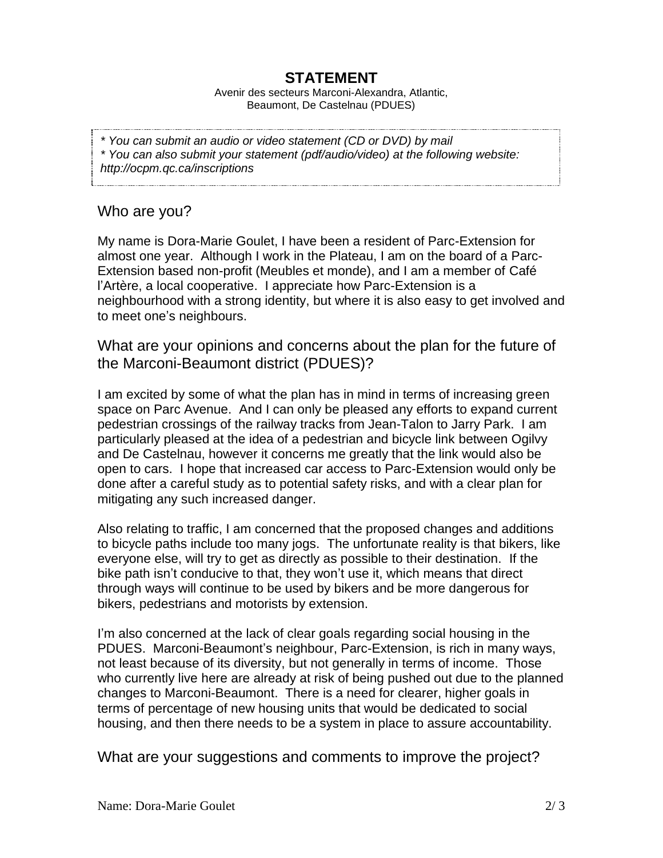## **STATEMENT**

Avenir des secteurs Marconi-Alexandra, Atlantic, Beaumont, De Castelnau (PDUES)

*\* You can submit an audio or video statement (CD or DVD) by mail*

*\* You can also submit your statement (pdf/audio/video) at the following website:* 

*http://ocpm.qc.ca/inscriptions*

Who are you?

My name is Dora-Marie Goulet, I have been a resident of Parc-Extension for almost one year. Although I work in the Plateau, I am on the board of a Parc-Extension based non-profit (Meubles et monde), and I am a member of Café l'Artère, a local cooperative. I appreciate how Parc-Extension is a neighbourhood with a strong identity, but where it is also easy to get involved and to meet one's neighbours.

What are your opinions and concerns about the plan for the future of the Marconi-Beaumont district (PDUES)?

I am excited by some of what the plan has in mind in terms of increasing green space on Parc Avenue. And I can only be pleased any efforts to expand current pedestrian crossings of the railway tracks from Jean-Talon to Jarry Park. I am particularly pleased at the idea of a pedestrian and bicycle link between Ogilvy and De Castelnau, however it concerns me greatly that the link would also be open to cars. I hope that increased car access to Parc-Extension would only be done after a careful study as to potential safety risks, and with a clear plan for mitigating any such increased danger.

Also relating to traffic, I am concerned that the proposed changes and additions to bicycle paths include too many jogs. The unfortunate reality is that bikers, like everyone else, will try to get as directly as possible to their destination. If the bike path isn't conducive to that, they won't use it, which means that direct through ways will continue to be used by bikers and be more dangerous for bikers, pedestrians and motorists by extension.

I'm also concerned at the lack of clear goals regarding social housing in the PDUES. Marconi-Beaumont's neighbour, Parc-Extension, is rich in many ways, not least because of its diversity, but not generally in terms of income. Those who currently live here are already at risk of being pushed out due to the planned changes to Marconi-Beaumont. There is a need for clearer, higher goals in terms of percentage of new housing units that would be dedicated to social housing, and then there needs to be a system in place to assure accountability.

What are your suggestions and comments to improve the project?